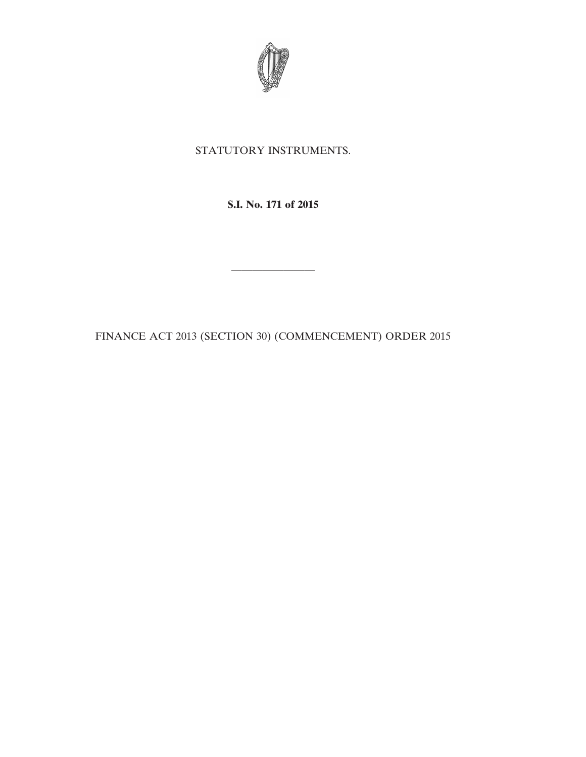

## STATUTORY INSTRUMENTS.

## **S.I. No. 171 of 2015**

FINANCE ACT 2013 (SECTION 30) (COMMENCEMENT) ORDER 2015

————————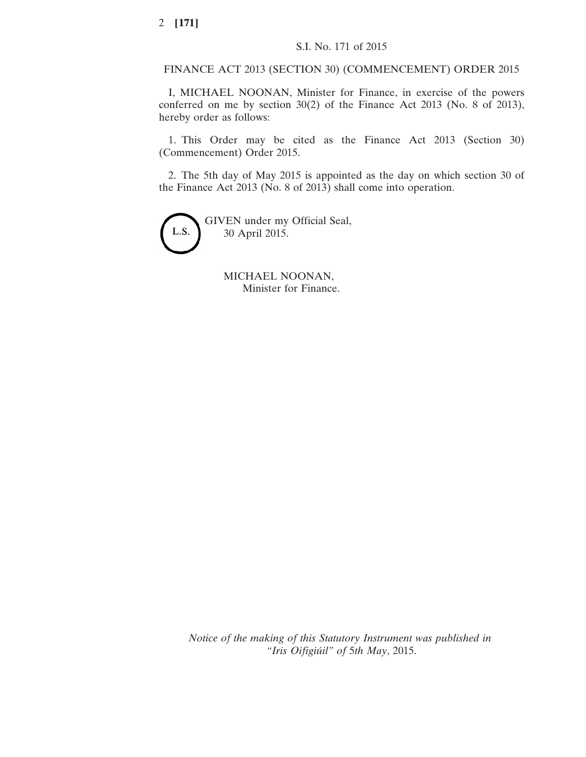FINANCE ACT 2013 (SECTION 30) (COMMENCEMENT) ORDER 2015

I, MICHAEL NOONAN, Minister for Finance, in exercise of the powers conferred on me by section 30(2) of the Finance Act 2013 (No. 8 of 2013), hereby order as follows:

1. This Order may be cited as the Finance Act 2013 (Section 30) (Commencement) Order 2015.

2. The 5th day of May 2015 is appointed as the day on which section 30 of the Finance Act 2013 (No. 8 of 2013) shall come into operation.



MICHAEL NOONAN, Minister for Finance.

*Notice of the making of this Statutory Instrument was published in "Iris Oifigiúil" of* 5*th May*, 2015.